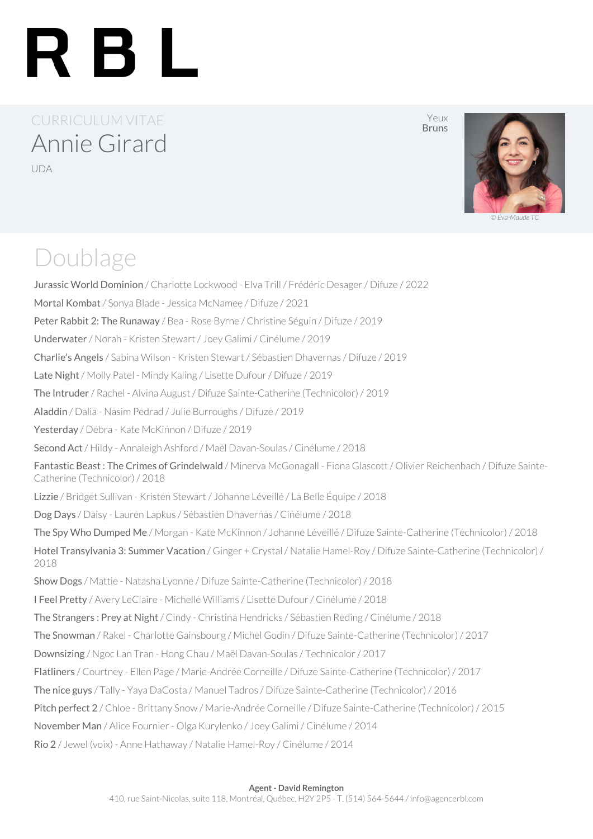# RBL

### CURRICULUM VITAE Annie Girard UDA

Yeux Bruns



*© Éva-Maude TC*

### Doublage

Jurassic World Dominion / Charlotte Lockwood - Elva Trill / Frédéric Desager / Difuze / 2022 Mortal Kombat / Sonya Blade - Jessica McNamee / Difuze / 2021 Peter Rabbit 2: The Runaway / Bea - Rose Byrne / Christine Séguin / Difuze / 2019 Underwater / Norah - Kristen Stewart / Joey Galimi / Cinélume / 2019 Charlie's Angels / Sabina Wilson - Kristen Stewart / Sébastien Dhavernas / Difuze / 2019 Late Night / Molly Patel - Mindy Kaling / Lisette Dufour / Difuze / 2019 The Intruder / Rachel - Alvina August / Difuze Sainte-Catherine (Technicolor) / 2019 Aladdin / Dalia - Nasim Pedrad / Julie Burroughs / Difuze / 2019 Yesterday / Debra - Kate McKinnon / Difuze / 2019 Second Act / Hildy - Annaleigh Ashford / Maël Davan-Soulas / Cinélume / 2018 Fantastic Beast: The Crimes of Grindelwald / Minerva McGonagall - Fiona Glascott / Olivier Reichenbach / Difuze Sainte-Catherine (Technicolor) / 2018 Lizzie / Bridget Sullivan - Kristen Stewart / Johanne Léveillé / La Belle Équipe / 2018 Dog Days / Daisy - Lauren Lapkus / Sébastien Dhavernas / Cinélume / 2018 The Spy Who Dumped Me / Morgan - Kate McKinnon / Johanne Léveillé / Difuze Sainte-Catherine (Technicolor) / 2018 Hotel Transylvania 3: Summer Vacation / Ginger + Crystal / Natalie Hamel-Roy / Difuze Sainte-Catherine (Technicolor) / 2018 Show Dogs / Mattie - Natasha Lyonne / Difuze Sainte-Catherine (Technicolor) / 2018 I Feel Pretty / Avery LeClaire - Michelle Williams / Lisette Dufour / Cinélume / 2018 The Strangers : Prey at Night / Cindy - Christina Hendricks / Sébastien Reding / Cinélume / 2018 The Snowman / Rakel - Charlotte Gainsbourg / Michel Godin / Difuze Sainte-Catherine (Technicolor) / 2017 Downsizing / Ngoc Lan Tran - Hong Chau / Maël Davan-Soulas / Technicolor / 2017 Flatliners / Courtney - Ellen Page / Marie-Andrée Corneille / Difuze Sainte-Catherine (Technicolor) / 2017 The nice guys / Tally - Yaya DaCosta / Manuel Tadros / Difuze Sainte-Catherine (Technicolor) / 2016 Pitch perfect 2 / Chloe - Brittany Snow / Marie-Andrée Corneille / Difuze Sainte-Catherine (Technicolor) / 2015 November Man / Alice Fournier - Olga Kurylenko / Joey Galimi / Cinélume / 2014 Rio 2 / Jewel (voix) - Anne Hathaway / Natalie Hamel-Roy / Cinélume / 2014

#### **Agent - David Remington**

410, rue Saint-Nicolas, suite 118, Montréal, Québec, H2Y 2P5 - T. (514) 564-5644 / info@agencerbl.com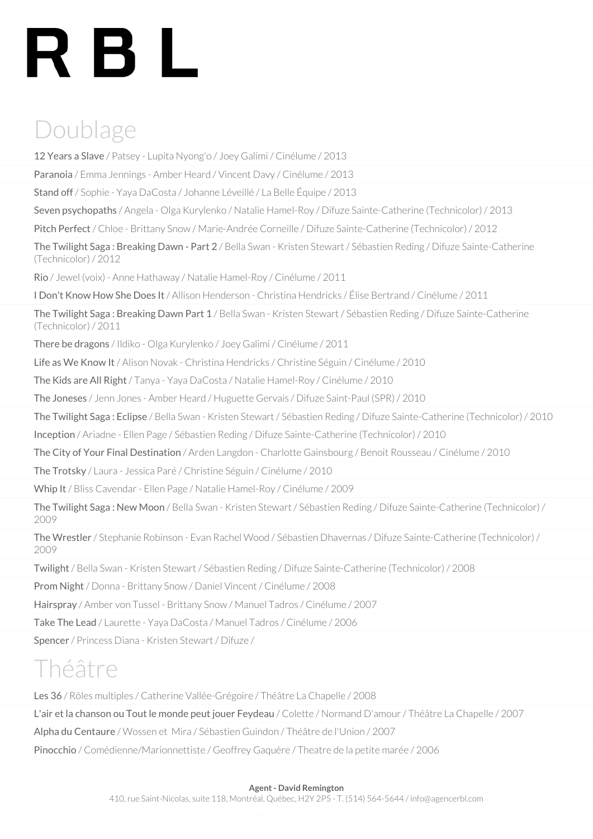# RBL

## Doublage

12 Years a Slave / Patsey - Lupita Nyong'o / Joey Galimi / Cinélume / 2013

Paranoia / Emma Jennings - Amber Heard / Vincent Davy / Cinélume / 2013

Stand off / Sophie - Yaya DaCosta / Johanne Léveillé / La Belle Équipe / 2013

Seven psychopaths / Angela - Olga Kurylenko / Natalie Hamel-Roy / Difuze Sainte-Catherine (Technicolor) / 2013

Pitch Perfect / Chloe - Brittany Snow / Marie-Andrée Corneille / Difuze Sainte-Catherine (Technicolor) / 2012

The Twilight Saga: Breaking Dawn - Part 2 / Bella Swan - Kristen Stewart / Sébastien Reding / Difuze Sainte-Catherine (Technicolor) / 2012

Rio / Jewel (voix) - Anne Hathaway / Natalie Hamel-Roy / Cinélume / 2011

I Don't Know How She Does It / Allison Henderson - Christina Hendricks / Élise Bertrand / Cinélume / 2011

The Twilight Saga: Breaking Dawn Part 1/ Bella Swan - Kristen Stewart / Sébastien Reding / Difuze Sainte-Catherine (Technicolor) / 2011

There be dragons / Ildiko - Olga Kurylenko / Joey Galimi / Cinélume / 2011

Life as We Know It / Alison Novak - Christina Hendricks / Christine Séguin / Cinélume / 2010

The Kids are All Right / Tanya - Yaya DaCosta / Natalie Hamel-Roy / Cinélume / 2010

The Joneses / Jenn Jones - Amber Heard / Huguette Gervais / Difuze Saint-Paul (SPR) / 2010

The Twilight Saga : Eclipse / Bella Swan - Kristen Stewart / Sébastien Reding / Difuze Sainte-Catherine (Technicolor) / 2010

Inception / Ariadne - Ellen Page / Sébastien Reding / Difuze Sainte-Catherine (Technicolor) / 2010

The City of Your Final Destination / Arden Langdon - Charlotte Gainsbourg / Benoit Rousseau / Cinélume / 2010

The Trotsky / Laura - Jessica Paré / Christine Séguin / Cinélume / 2010

Whip It / Bliss Cavendar - Ellen Page / Natalie Hamel-Roy / Cinélume / 2009

The Twilight Saga : New Moon / Bella Swan - Kristen Stewart / Sébastien Reding / Difuze Sainte-Catherine (Technicolor) / 2009

The Wrestler / Stephanie Robinson - Evan Rachel Wood / Sébastien Dhavernas / Difuze Sainte-Catherine (Technicolor) / 2009

Twilight / Bella Swan - Kristen Stewart / Sébastien Reding / Difuze Sainte-Catherine (Technicolor) / 2008

Prom Night / Donna - Brittany Snow / Daniel Vincent / Cinélume / 2008

Hairspray / Amber von Tussel - Brittany Snow / Manuel Tadros / Cinélume / 2007

Take The Lead / Laurette - Yaya DaCosta / Manuel Tadros / Cinélume / 2006

Spencer / Princess Diana - Kristen Stewart / Difuze /

## Théâtre

Les 36 / Rôles multiples / Catherine Vallée-Grégoire / Théâtre La Chapelle / 2008

L'air et la chanson ou Tout le monde peut jouer Feydeau / Colette / Normand D'amour / Théâtre La Chapelle / 2007

Alpha du Centaure / Wossen et Mira / Sébastien Guindon / Théâtre de l'Union / 2007

Pinocchio / Comédienne/Marionnettiste / Geoffrey Gaquère / Theatre de la petite marée / 2006

#### **Agent - David Remington**

410, rue Saint-Nicolas, suite 118, Montréal, Québec, H2Y 2P5 - T. (514) 564-5644 / info@agencerbl.com